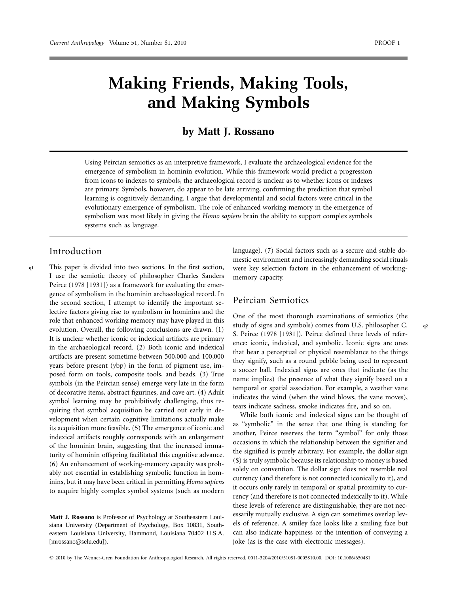**q2**

# **Making Friends, Making Tools, and Making Symbols**

**by Matt J. Rossano**

Using Peircian semiotics as an interpretive framework, I evaluate the archaeological evidence for the emergence of symbolism in hominin evolution. While this framework would predict a progression from icons to indexes to symbols, the archaeological record is unclear as to whether icons or indexes are primary. Symbols, however, do appear to be late arriving, confirming the prediction that symbol learning is cognitively demanding. I argue that developmental and social factors were critical in the evolutionary emergence of symbolism. The role of enhanced working memory in the emergence of symbolism was most likely in giving the *Homo sapiens* brain the ability to support complex symbols systems such as language.

# Introduction

**q1**

This paper is divided into two sections. In the first section, I use the semiotic theory of philosopher Charles Sanders Peirce (1978 [1931]) as a framework for evaluating the emergence of symbolism in the hominin archaeological record. In the second section, I attempt to identify the important selective factors giving rise to symbolism in hominins and the role that enhanced working memory may have played in this evolution. Overall, the following conclusions are drawn. (1) It is unclear whether iconic or indexical artifacts are primary in the archaeological record. (2) Both iconic and indexical artifacts are present sometime between 500,000 and 100,000 years before present (ybp) in the form of pigment use, imposed form on tools, composite tools, and beads. (3) True symbols (in the Peircian sense) emerge very late in the form of decorative items, abstract figurines, and cave art. (4) Adult symbol learning may be prohibitively challenging, thus requiring that symbol acquisition be carried out early in development when certain cognitive limitations actually make its acquisition more feasible. (5) The emergence of iconic and indexical artifacts roughly corresponds with an enlargement of the hominin brain, suggesting that the increased immaturity of hominin offspring facilitated this cognitive advance. (6) An enhancement of working-memory capacity was probably not essential in establishing symbolic function in hominins, but it may have been critical in permitting *Homo sapiens* to acquire highly complex symbol systems (such as modern language). (7) Social factors such as a secure and stable domestic environment and increasingly demanding social rituals were key selection factors in the enhancement of workingmemory capacity.

# Peircian Semiotics

One of the most thorough examinations of semiotics (the study of signs and symbols) comes from U.S. philosopher C. S. Peirce (1978 [1931]). Peirce defined three levels of reference: iconic, indexical, and symbolic. Iconic signs are ones that bear a perceptual or physical resemblance to the things they signify, such as a round pebble being used to represent a soccer ball. Indexical signs are ones that indicate (as the name implies) the presence of what they signify based on a temporal or spatial association. For example, a weather vane indicates the wind (when the wind blows, the vane moves), tears indicate sadness, smoke indicates fire, and so on.

While both iconic and indexical signs can be thought of as "symbolic" in the sense that one thing is standing for another, Peirce reserves the term "symbol" for only those occasions in which the relationship between the signifier and the signified is purely arbitrary. For example, the dollar sign (\$) is truly symbolic because its relationship to money is based solely on convention. The dollar sign does not resemble real currency (and therefore is not connected iconically to it), and it occurs only rarely in temporal or spatial proximity to currency (and therefore is not connected indexically to it). While these levels of reference are distinguishable, they are not necessarily mutually exclusive. A sign can sometimes overlap levels of reference. A smiley face looks like a smiling face but can also indicate happiness or the intention of conveying a joke (as is the case with electronic messages).

2010 by The Wenner-Gren Foundation for Anthropological Research. All rights reserved. 0011-3204/2010/510S1-0005\$10.00. DOI: 10.1086/650481

**Matt J. Rossano** is Professor of Psychology at Southeastern Louisiana University (Department of Psychology, Box 10831, Southeastern Louisiana University, Hammond, Louisiana 70402 U.S.A. [mrossano@selu.edu]).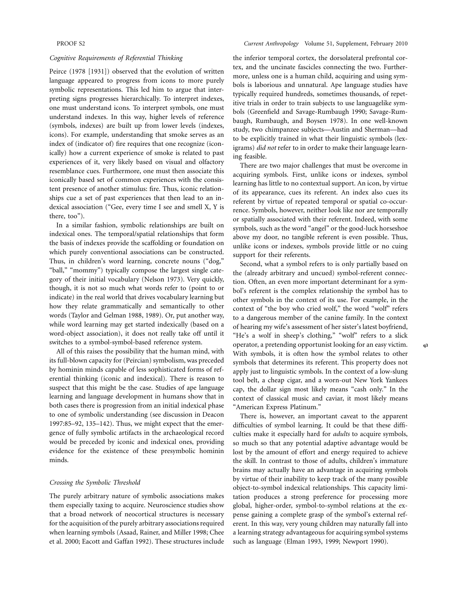## *Cognitive Requirements of Referential Thinking*

Peirce (1978 [1931]) observed that the evolution of written language appeared to progress from icons to more purely symbolic representations. This led him to argue that interpreting signs progresses hierarchically. To interpret indexes, one must understand icons. To interpret symbols, one must understand indexes. In this way, higher levels of reference (symbols, indexes) are built up from lower levels (indexes, icons). For example, understanding that smoke serves as an index of (indicator of) fire requires that one recognize (iconically) how a current experience of smoke is related to past experiences of it, very likely based on visual and olfactory resemblance cues. Furthermore, one must then associate this iconically based set of common experiences with the consistent presence of another stimulus: fire. Thus, iconic relationships cue a set of past experiences that then lead to an indexical association ("Gee, every time I see and smell X, Y is there, too").

In a similar fashion, symbolic relationships are built on indexical ones. The temporal/spatial relationships that form the basis of indexes provide the scaffolding or foundation on which purely conventional associations can be constructed. Thus, in children's word learning, concrete nouns ("dog," "ball," "mommy") typically compose the largest single category of their initial vocabulary (Nelson 1973). Very quickly, though, it is not so much what words refer to (point to or indicate) in the real world that drives vocabulary learning but how they relate grammatically and semantically to other words (Taylor and Gelman 1988, 1989). Or, put another way, while word learning may get started indexically (based on a word-object association), it does not really take off until it switches to a symbol-symbol-based reference system.

All of this raises the possibility that the human mind, with its full-blown capacity for (Peircian) symbolism, was preceded by hominin minds capable of less sophisticated forms of referential thinking (iconic and indexical). There is reason to suspect that this might be the case. Studies of ape language learning and language development in humans show that in both cases there is progression from an initial indexical phase to one of symbolic understanding (see discussion in Deacon 1997:85–92, 135–142). Thus, we might expect that the emergence of fully symbolic artifacts in the archaeological record would be preceded by iconic and indexical ones, providing evidence for the existence of these presymbolic hominin minds.

### *Crossing the Symbolic Threshold*

The purely arbitrary nature of symbolic associations makes them especially taxing to acquire. Neuroscience studies show that a broad network of neocortical structures is necessary for the acquisition of the purely arbitrary associations required when learning symbols (Asaad, Rainer, and Miller 1998; Chee et al. 2000; Eacott and Gaffan 1992). These structures include the inferior temporal cortex, the dorsolateral prefrontal cortex, and the uncinate fascicles connecting the two. Furthermore, unless one is a human child, acquiring and using symbols is laborious and unnatural. Ape language studies have typically required hundreds, sometimes thousands, of repetitive trials in order to train subjects to use languagelike symbols (Greenfield and Savage-Rumbaugh 1990; Savage-Rumbaugh, Rumbaugh, and Boysen 1978). In one well-known study, two chimpanzee subjects—Austin and Sherman—had to be explicitly trained in what their linguistic symbols (lexigrams) *did not* refer to in order to make their language learning feasible.

There are two major challenges that must be overcome in acquiring symbols. First, unlike icons or indexes, symbol learning has little to no contextual support. An icon, by virtue of its appearance, cues its referent. An index also cues its referent by virtue of repeated temporal or spatial co-occurrence. Symbols, however, neither look like nor are temporally or spatially associated with their referent. Indeed, with some symbols, such as the word "angel" or the good-luck horseshoe above my door, no tangible referent is even possible. Thus, unlike icons or indexes, symbols provide little or no cuing support for their referents.

Second, what a symbol refers to is only partially based on the (already arbitrary and uncued) symbol-referent connection. Often, an even more important determinant for a symbol's referent is the complex relationship the symbol has to other symbols in the context of its use. For example, in the context of "the boy who cried wolf," the word "wolf" refers to a dangerous member of the canine family. In the context of hearing my wife's assessment of her sister's latest boyfriend, "He's a wolf in sheep's clothing," "wolf" refers to a slick operator, a pretending opportunist looking for an easy victim. With symbols, it is often how the symbol relates to other symbols that determines its referent. This property does not apply just to linguistic symbols. In the context of a low-slung tool belt, a cheap cigar, and a worn-out New York Yankees cap, the dollar sign most likely means "cash only." In the context of classical music and caviar, it most likely means "American Express Platinum."

There is, however, an important caveat to the apparent difficulties of symbol learning. It could be that these difficulties make it especially hard for *adults* to acquire symbols, so much so that any potential adaptive advantage would be lost by the amount of effort and energy required to achieve the skill. In contrast to those of adults, children's immature brains may actually have an advantage in acquiring symbols by virtue of their inability to keep track of the many possible object-to-symbol indexical relationships. This capacity limitation produces a strong preference for processing more global, higher-order, symbol-to-symbol relations at the expense gaining a complete grasp of the symbol's external referent. In this way, very young children may naturally fall into a learning strategy advantageous for acquiring symbol systems such as language (Elman 1993, 1999; Newport 1990).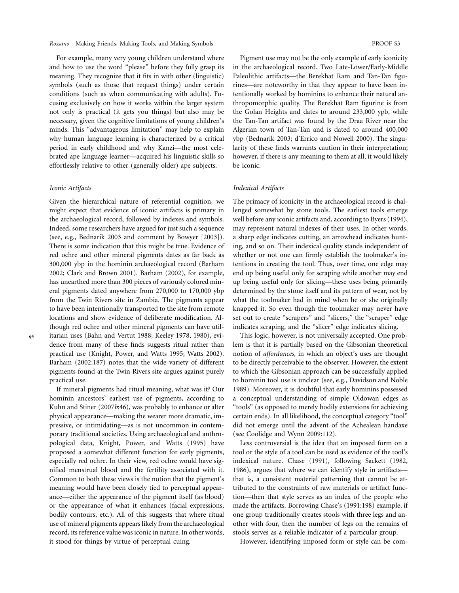*Rossano* Making Friends, Making Tools, and Making Symbols **PROOF S3 PROOF S3** 

For example, many very young children understand where and how to use the word "please" before they fully grasp its meaning. They recognize that it fits in with other (linguistic) symbols (such as those that request things) under certain conditions (such as when communicating with adults). Focusing exclusively on how it works within the larger system not only is practical (it gets you things) but also may be necessary, given the cognitive limitations of young children's minds. This "advantageous limitation" may help to explain why human language learning is characterized by a critical period in early childhood and why Kanzi—the most celebrated ape language learner—acquired his linguistic skills so effortlessly relative to other (generally older) ape subjects.

#### *Iconic Artifacts*

Given the hierarchical nature of referential cognition, we might expect that evidence of iconic artifacts is primary in the archaeological record, followed by indexes and symbols. Indeed, some researchers have argued for just such a sequence (see, e.g., Bednarik 2003 and comment by Bowyer [2003]). There is some indication that this might be true. Evidence of red ochre and other mineral pigments dates as far back as 300,000 ybp in the hominin archaeological record (Barham 2002; Clark and Brown 2001). Barham (2002), for example, has unearthed more than 300 pieces of variously colored mineral pigments dated anywhere from 270,000 to 170,000 ybp from the Twin Rivers site in Zambia. The pigments appear to have been intentionally transported to the site from remote locations and show evidence of deliberate modification. Although red ochre and other mineral pigments can have utilitarian uses (Bahn and Vertut 1988; Keeley 1978, 1980), evidence from many of these finds suggests ritual rather than practical use (Knight, Power, and Watts 1995; Watts 2002). Barham (2002:187) notes that the wide variety of different pigments found at the Twin Rivers site argues against purely practical use.

If mineral pigments had ritual meaning, what was it? Our hominin ancestors' earliest use of pigments, according to Kuhn and Stiner (2007*b*:46), was probably to enhance or alter physical appearance—making the wearer more dramatic, impressive, or intimidating—as is not uncommon in contemporary traditional societies. Using archaeological and anthropological data, Knight, Power, and Watts (1995) have proposed a somewhat different function for early pigments, especially red ochre. In their view, red ochre would have signified menstrual blood and the fertility associated with it. Common to both these views is the notion that the pigment's meaning would have been closely tied to perceptual appearance—either the appearance of the pigment itself (as blood) or the appearance of what it enhances (facial expressions, bodily contours, etc.). All of this suggests that where ritual use of mineral pigments appears likely from the archaeological record, its reference value was iconic in nature. In other words, it stood for things by virtue of perceptual cuing.

Pigment use may not be the only example of early iconicity in the archaeological record. Two Late-Lower/Early-Middle Paleolithic artifacts—the Berekhat Ram and Tan-Tan figurines—are noteworthy in that they appear to have been intentionally worked by hominins to enhance their natural anthropomorphic quality. The Berekhat Ram figurine is from the Golan Heights and dates to around 233,000 ypb, while the Tan-Tan artifact was found by the Draa River near the Algerian town of Tan-Tan and is dated to around 400,000 ybp (Bednarik 2003; d'Errico and Nowell 2000). The singularity of these finds warrants caution in their interpretation; however, if there is any meaning to them at all, it would likely be iconic.

#### *Indexical Artifacts*

The primacy of iconicity in the archaeological record is challenged somewhat by stone tools. The earliest tools emerge well before any iconic artifacts and, according to Byers (1994), may represent natural indexes of their uses. In other words, a sharp edge indicates cutting, an arrowhead indicates hunting, and so on. Their indexical quality stands independent of whether or not one can firmly establish the toolmaker's intentions in creating the tool. Thus, over time, one edge may end up being useful only for scraping while another may end up being useful only for slicing—these uses being primarily determined by the stone itself and its pattern of wear, not by what the toolmaker had in mind when he or she originally knapped it. So even though the toolmaker may never have set out to create "scrapers" and "slicers," the "scraper" edge indicates scraping, and the "slicer" edge indicates slicing.

This logic, however, is not universally accepted. One problem is that it is partially based on the Gibsonian theoretical notion of *affordances*, in which an object's uses are thought to be directly perceivable to the observer. However, the extent to which the Gibsonian approach can be successfully applied to hominin tool use is unclear (see, e.g., Davidson and Noble 1989). Moreover, it is doubtful that early hominins possessed a conceptual understanding of simple Oldowan edges as "tools" (as opposed to merely bodily extensions for achieving certain ends). In all likelihood, the conceptual category "tool" did not emerge until the advent of the Achealean handaxe (see Coolidge and Wynn 2009:112).

Less controversial is the idea that an imposed form on a tool or the style of a tool can be used as evidence of the tool's indexical nature. Chase (1991), following Sackett (1982, 1986), argues that where we can identify style in artifacts that is, a consistent material patterning that cannot be attributed to the constraints of raw materials or artifact function—then that style serves as an index of the people who made the artifacts. Borrowing Chase's (1991:198) example, if one group traditionally creates stools with three legs and another with four, then the number of legs on the remains of stools serves as a reliable indicator of a particular group.

However, identifying imposed form or style can be com-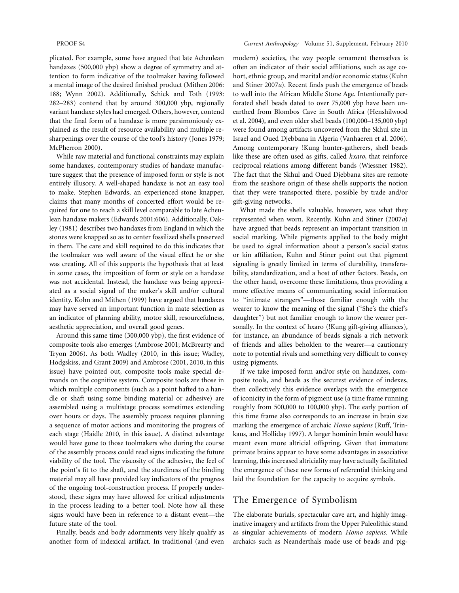plicated. For example, some have argued that late Acheulean handaxes (500,000 ybp) show a degree of symmetry and attention to form indicative of the toolmaker having followed a mental image of the desired finished product (Mithen 2006: 188; Wynn 2002). Additionally, Schick and Toth (1993: 282–283) contend that by around 300,000 ybp, regionally variant handaxe styles had emerged. Others, however, contend that the final form of a handaxe is more parsimoniously explained as the result of resource availability and multiple resharpenings over the course of the tool's history (Jones 1979; McPherron 2000).

While raw material and functional constraints may explain some handaxes, contemporary studies of handaxe manufacture suggest that the presence of imposed form or style is not entirely illusory. A well-shaped handaxe is not an easy tool to make. Stephen Edwards, an experienced stone knapper, claims that many months of concerted effort would be required for one to reach a skill level comparable to late Acheulean handaxe makers (Edwards 2001:606). Additionally, Oakley (1981) describes two handaxes from England in which the stones were knapped so as to center fossilized shells preserved in them. The care and skill required to do this indicates that the toolmaker was well aware of the visual effect he or she was creating. All of this supports the hypothesis that at least in some cases, the imposition of form or style on a handaxe was not accidental. Instead, the handaxe was being appreciated as a social signal of the maker's skill and/or cultural identity. Kohn and Mithen (1999) have argued that handaxes may have served an important function in mate selection as an indicator of planning ability, motor skill, resourcefulness, aesthetic appreciation, and overall good genes.

Around this same time (300,000 ybp), the first evidence of composite tools also emerges (Ambrose 2001; McBrearty and Tryon 2006). As both Wadley (2010, in this issue; Wadley, Hodgskiss, and Grant 2009) and Ambrose (2001, 2010, in this issue) have pointed out, composite tools make special demands on the cognitive system. Composite tools are those in which multiple components (such as a point hafted to a handle or shaft using some binding material or adhesive) are assembled using a multistage process sometimes extending over hours or days. The assembly process requires planning a sequence of motor actions and monitoring the progress of each stage (Haidle 2010, in this issue). A distinct advantage would have gone to those toolmakers who during the course of the assembly process could read signs indicating the future viability of the tool. The viscosity of the adhesive, the feel of the point's fit to the shaft, and the sturdiness of the binding material may all have provided key indicators of the progress of the ongoing tool-construction process. If properly understood, these signs may have allowed for critical adjustments in the process leading to a better tool. Note how all these signs would have been in reference to a distant event—the future state of the tool.

Finally, beads and body adornments very likely qualify as another form of indexical artifact. In traditional (and even

modern) societies, the way people ornament themselves is often an indicator of their social affiliations, such as age cohort, ethnic group, and marital and/or economic status (Kuhn and Stiner 2007*a*). Recent finds push the emergence of beads to well into the African Middle Stone Age. Intentionally perforated shell beads dated to over 75,000 ybp have been unearthed from Blombos Cave in South Africa (Henshilwood et al. 2004), and even older shell beads (100,000–135,000 ybp) were found among artifacts uncovered from the Skhul site in Israel and Oued Djebbana in Algeria (Vanhaeren et al. 2006). Among contemporary !Kung hunter-gatherers, shell beads like these are often used as gifts, called *hxaro*, that reinforce reciprocal relations among different bands (Wiessner 1982). The fact that the Skhul and Oued Djebbana sites are remote from the seashore origin of these shells supports the notion that they were transported there, possible by trade and/or gift-giving networks.

What made the shells valuable, however, was what they represented when worn. Recently, Kuhn and Stiner (2007*a*) have argued that beads represent an important transition in social marking. While pigments applied to the body might be used to signal information about a person's social status or kin affiliation, Kuhn and Stiner point out that pigment signaling is greatly limited in terms of durability, transferability, standardization, and a host of other factors. Beads, on the other hand, overcome these limitations, thus providing a more effective means of communicating social information to "intimate strangers"—those familiar enough with the wearer to know the meaning of the signal ("She's the chief's daughter") but not familiar enough to know the wearer personally. In the context of hxaro (!Kung gift-giving alliances), for instance, an abundance of beads signals a rich network of friends and allies beholden to the wearer—a cautionary note to potential rivals and something very difficult to convey using pigments.

If we take imposed form and/or style on handaxes, composite tools, and beads as the securest evidence of indexes, then collectively this evidence overlaps with the emergence of iconicity in the form of pigment use (a time frame running roughly from 500,000 to 100,000 ybp). The early portion of this time frame also corresponds to an increase in brain size marking the emergence of archaic *Homo sapiens* (Ruff, Trinkaus, and Holliday 1997). A larger hominin brain would have meant even more altricial offspring. Given that immature primate brains appear to have some advantages in associative learning, this increased altriciality may have actually facilitated the emergence of these new forms of referential thinking and laid the foundation for the capacity to acquire symbols.

# The Emergence of Symbolism

The elaborate burials, spectacular cave art, and highly imaginative imagery and artifacts from the Upper Paleolithic stand as singular achievements of modern *Homo sapiens*. While archaics such as Neanderthals made use of beads and pig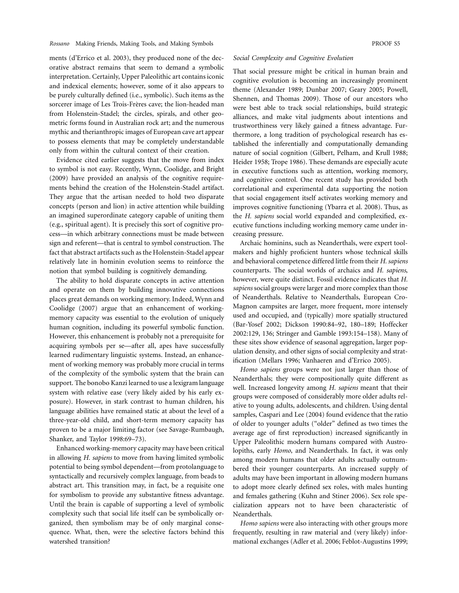ments (d'Errico et al. 2003), they produced none of the decorative abstract remains that seem to demand a symbolic interpretation. Certainly, Upper Paleolithic art contains iconic and indexical elements; however, some of it also appears to be purely culturally defined (i.e., symbolic). Such items as the sorcerer image of Les Trois-Frères cave; the lion-headed man from Holenstein-Stadel; the circles, spirals, and other geometric forms found in Australian rock art; and the numerous mythic and therianthropic images of European cave art appear to possess elements that may be completely understandable only from within the cultural context of their creation.

Evidence cited earlier suggests that the move from index to symbol is not easy. Recently, Wynn, Coolidge, and Bright (2009) have provided an analysis of the cognitive requirements behind the creation of the Holenstein-Stadel artifact. They argue that the artisan needed to hold two disparate concepts (person and lion) in active attention while building an imagined superordinate category capable of uniting them (e.g., spiritual agent). It is precisely this sort of cognitive process—in which arbitrary connections must be made between sign and referent—that is central to symbol construction. The fact that abstract artifacts such as the Holenstein-Stadel appear relatively late in hominin evolution seems to reinforce the notion that symbol building is cognitively demanding.

The ability to hold disparate concepts in active attention and operate on them by building innovative connections places great demands on working memory. Indeed, Wynn and Coolidge (2007) argue that an enhancement of workingmemory capacity was essential to the evolution of uniquely human cognition, including its powerful symbolic function. However, this enhancement is probably not a prerequisite for acquiring symbols per se—after all, apes have successfully learned rudimentary linguistic systems. Instead, an enhancement of working memory was probably more crucial in terms of the complexity of the symbolic system that the brain can support. The bonobo Kanzi learned to use a lexigram language system with relative ease (very likely aided by his early exposure). However, in stark contrast to human children, his language abilities have remained static at about the level of a three-year-old child, and short-term memory capacity has proven to be a major limiting factor (see Savage-Rumbaugh, Shanker, and Taylor 1998:69–73).

Enhanced working-memory capacity may have been critical in allowing *H. sapiens* to move from having limited symbolic potential to being symbol dependent—from protolanguage to syntactically and recursively complex language, from beads to abstract art. This transition may, in fact, be a requisite one for symbolism to provide any substantive fitness advantage. Until the brain is capable of supporting a level of symbolic complexity such that social life itself can be symbolically organized, then symbolism may be of only marginal consequence. What, then, were the selective factors behind this watershed transition?

#### *Social Complexity and Cognitive Evolution*

That social pressure might be critical in human brain and cognitive evolution is becoming an increasingly prominent theme (Alexander 1989; Dunbar 2007; Geary 2005; Powell, Shennen, and Thomas 2009). Those of our ancestors who were best able to track social relationships, build strategic alliances, and make vital judgments about intentions and trustworthiness very likely gained a fitness advantage. Furthermore, a long tradition of psychological research has established the inferentially and computationally demanding nature of social cognition (Gilbert, Pelham, and Krull 1988; Heider 1958; Trope 1986). These demands are especially acute in executive functions such as attention, working memory, and cognitive control. One recent study has provided both correlational and experimental data supporting the notion that social engagement itself activates working memory and improves cognitive functioning (Ybarra et al. 2008). Thus, as the *H. sapiens* social world expanded and complexified, executive functions including working memory came under increasing pressure.

Archaic hominins, such as Neanderthals, were expert toolmakers and highly proficient hunters whose technical skills and behavioral competence differed little from their *H. sapiens* counterparts. The social worlds of archaics and *H. sapiens*, however, were quite distinct. Fossil evidence indicates that *H. sapiens* social groups were larger and more complex than those of Neanderthals. Relative to Neanderthals, European Cro-Magnon campsites are larger, more frequent, more intensely used and occupied, and (typically) more spatially structured (Bar-Yosef 2002; Dickson 1990:84–92, 180–189; Hoffecker 2002:129, 136; Stringer and Gamble 1993:154–158). Many of these sites show evidence of seasonal aggregation, larger population density, and other signs of social complexity and stratification (Mellars 1996; Vanhaeren and d'Errico 2005).

*Homo sapiens* groups were not just larger than those of Neanderthals; they were compositionally quite different as well. Increased longevity among *H. sapiens* meant that their groups were composed of considerably more older adults relative to young adults, adolescents, and children. Using dental samples, Caspari and Lee (2004) found evidence that the ratio of older to younger adults ("older" defined as two times the average age of first reproduction) increased significantly in Upper Paleolithic modern humans compared with Austrolopiths, early *Homo*, and Neanderthals. In fact, it was only among modern humans that older adults actually outnumbered their younger counterparts. An increased supply of adults may have been important in allowing modern humans to adopt more clearly defined sex roles, with males hunting and females gathering (Kuhn and Stiner 2006). Sex role specialization appears not to have been characteristic of Neanderthals.

*Homo sapiens* were also interacting with other groups more frequently, resulting in raw material and (very likely) informational exchanges (Adler et al. 2006; Feblot-Augustins 1999;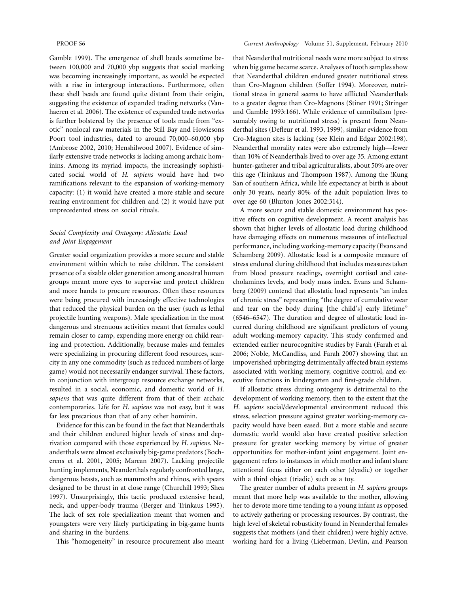Gamble 1999). The emergence of shell beads sometime between 100,000 and 70,000 ybp suggests that social marking was becoming increasingly important, as would be expected with a rise in intergroup interactions. Furthermore, often these shell beads are found quite distant from their origin, suggesting the existence of expanded trading networks (Vanhaeren et al. 2006). The existence of expanded trade networks is further bolstered by the presence of tools made from "exotic" nonlocal raw materials in the Still Bay and Howiesons Poort tool industries, dated to around 70,000–60,000 ybp (Ambrose 2002, 2010; Henshilwood 2007). Evidence of similarly extensive trade networks is lacking among archaic hominins. Among its myriad impacts, the increasingly sophisticated social world of *H. sapiens* would have had two ramifications relevant to the expansion of working-memory capacity: (1) it would have created a more stable and secure rearing environment for children and (2) it would have put unprecedented stress on social rituals.

## *Social Complexity and Ontogeny: Allostatic Load and Joint Engagement*

Greater social organization provides a more secure and stable environment within which to raise children. The consistent presence of a sizable older generation among ancestral human groups meant more eyes to supervise and protect children and more hands to procure resources. Often these resources were being procured with increasingly effective technologies that reduced the physical burden on the user (such as lethal projectile hunting weapons). Male specialization in the most dangerous and strenuous activities meant that females could remain closer to camp, expending more energy on child rearing and protection. Additionally, because males and females were specializing in procuring different food resources, scarcity in any one commodity (such as reduced numbers of large game) would not necessarily endanger survival. These factors, in conjunction with intergroup resource exchange networks, resulted in a social, economic, and domestic world of *H. sapiens* that was quite different from that of their archaic contemporaries. Life for *H. sapiens* was not easy, but it was far less precarious than that of any other hominin.

Evidence for this can be found in the fact that Neanderthals and their children endured higher levels of stress and deprivation compared with those experienced by *H. sapiens*. Neanderthals were almost exclusively big-game predators (Bocherens et al. 2001, 2005; Marean 2007). Lacking projectile hunting implements, Neanderthals regularly confronted large, dangerous beasts, such as mammoths and rhinos, with spears designed to be thrust in at close range (Churchill 1993; Shea 1997). Unsurprisingly, this tactic produced extensive head, neck, and upper-body trauma (Berger and Trinkaus 1995). The lack of sex role specialization meant that women and youngsters were very likely participating in big-game hunts and sharing in the burdens.

This "homogeneity" in resource procurement also meant

that Neanderthal nutritional needs were more subject to stress when big game became scarce. Analyses of tooth samples show that Neanderthal children endured greater nutritional stress than Cro-Magnon children (Soffer 1994). Moreover, nutritional stress in general seems to have afflicted Neanderthals to a greater degree than Cro-Magnons (Stiner 1991; Stringer and Gamble 1993:166). While evidence of cannibalism (presumably owing to nutritional stress) is present from Neanderthal sites (Defleur et al. 1993, 1999), similar evidence from Cro-Magnon sites is lacking (see Klein and Edgar 2002:198). Neanderthal morality rates were also extremely high—fewer than 10% of Neanderthals lived to over age 35. Among extant hunter-gatherer and tribal agriculturalists, about 50% are over this age (Trinkaus and Thompson 1987). Among the !Kung San of southern Africa, while life expectancy at birth is about only 30 years, nearly 80% of the adult population lives to over age 60 (Blurton Jones 2002:314).

A more secure and stable domestic environment has positive effects on cognitive development. A recent analysis has shown that higher levels of allostatic load during childhood have damaging effects on numerous measures of intellectual performance, including working-memory capacity (Evans and Schamberg 2009). Allostatic load is a composite measure of stress endured during childhood that includes measures taken from blood pressure readings, overnight cortisol and catecholamines levels, and body mass index. Evans and Schamberg (2009) contend that allostatic load represents "an index of chronic stress" representing "the degree of cumulative wear and tear on the body during [the child's] early lifetime" (6546–6547). The duration and degree of allostatic load incurred during childhood are significant predictors of young adult working-memory capacity. This study confirmed and extended earlier neurocognitive studies by Farah (Farah et al. 2006; Noble, McCandliss, and Farah 2007) showing that an impoverished upbringing detrimentally affected brain systems associated with working memory, cognitive control, and executive functions in kindergarten and first-grade children.

If allostatic stress during ontogeny is detrimental to the development of working memory, then to the extent that the *H. sapiens* social/developmental environment reduced this stress, selection pressure against greater working-memory capacity would have been eased. But a more stable and secure domestic world would also have created positive selection pressure for greater working memory by virtue of greater opportunities for mother-infant joint engagement. Joint engagement refers to instances in which mother and infant share attentional focus either on each other (dyadic) or together with a third object (triadic) such as a toy.

The greater number of adults present in *H. sapiens* groups meant that more help was available to the mother, allowing her to devote more time tending to a young infant as opposed to actively gathering or processing resources. By contrast, the high level of skeletal robusticity found in Neanderthal females suggests that mothers (and their children) were highly active, working hard for a living (Lieberman, Devlin, and Pearson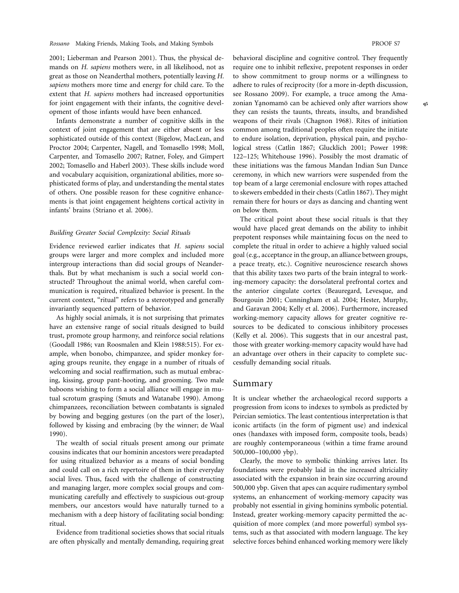2001; Lieberman and Pearson 2001). Thus, the physical demands on *H. sapiens* mothers were, in all likelihood, not as great as those on Neanderthal mothers, potentially leaving *H. sapiens* mothers more time and energy for child care. To the extent that *H. sapiens* mothers had increased opportunities for joint engagement with their infants, the cognitive development of those infants would have been enhanced.

Infants demonstrate a number of cognitive skills in the context of joint engagement that are either absent or less sophisticated outside of this context (Bigelow, MacLean, and Proctor 2004; Carpenter, Nagell, and Tomasello 1998; Moll, Carpenter, and Tomasello 2007; Ratner, Foley, and Gimpert 2002; Tomasello and Haberl 2003). These skills include word and vocabulary acquisition, organizational abilities, more sophisticated forms of play, and understanding the mental states of others. One possible reason for these cognitive enhancements is that joint engagement heightens cortical activity in infants' brains (Striano et al. 2006).

#### *Building Greater Social Complexity: Social Rituals*

Evidence reviewed earlier indicates that *H. sapiens* social groups were larger and more complex and included more intergroup interactions than did social groups of Neanderthals. But by what mechanism is such a social world constructed? Throughout the animal world, when careful communication is required, ritualized behavior is present. In the current context, "ritual" refers to a stereotyped and generally invariantly sequenced pattern of behavior.

As highly social animals, it is not surprising that primates have an extensive range of social rituals designed to build trust, promote group harmony, and reinforce social relations (Goodall 1986; van Roosmalen and Klein 1988:515). For example, when bonobo, chimpanzee, and spider monkey foraging groups reunite, they engage in a number of rituals of welcoming and social reaffirmation, such as mutual embracing, kissing, group pant-hooting, and grooming. Two male baboons wishing to form a social alliance will engage in mutual scrotum grasping (Smuts and Watanabe 1990). Among chimpanzees, reconciliation between combatants is signaled by bowing and begging gestures (on the part of the loser), followed by kissing and embracing (by the winner; de Waal 1990).

The wealth of social rituals present among our primate cousins indicates that our hominin ancestors were preadapted for using ritualized behavior as a means of social bonding and could call on a rich repertoire of them in their everyday social lives. Thus, faced with the challenge of constructing and managing larger, more complex social groups and communicating carefully and effectively to suspicious out-group members, our ancestors would have naturally turned to a mechanism with a deep history of facilitating social bonding: ritual.

Evidence from traditional societies shows that social rituals are often physically and mentally demanding, requiring great behavioral discipline and cognitive control. They frequently require one to inhibit reflexive, prepotent responses in order to show commitment to group norms or a willingness to adhere to rules of reciprocity (for a more in-depth discussion, see Rossano 2009). For example, a truce among the Amazonian Yanomamö can be achieved only after warriors show they can resists the taunts, threats, insults, and brandished weapons of their rivals (Chagnon 1968). Rites of initiation common among traditional peoples often require the initiate to endure isolation, deprivation, physical pain, and psychological stress (Catlin 1867; Glucklich 2001; Power 1998: 122–125; Whitehouse 1996). Possibly the most dramatic of these initiations was the famous Mandan Indian Sun Dance ceremony, in which new warriors were suspended from the top beam of a large ceremonial enclosure with ropes attached to skewers embedded in their chests (Catlin 1867). They might remain there for hours or days as dancing and chanting went on below them.

The critical point about these social rituals is that they would have placed great demands on the ability to inhibit prepotent responses while maintaining focus on the need to complete the ritual in order to achieve a highly valued social goal (e.g., acceptance in the group, an alliance between groups, a peace treaty, etc.). Cognitive neuroscience research shows that this ability taxes two parts of the brain integral to working-memory capacity: the dorsolateral prefrontal cortex and the anterior cingulate cortex (Beauregard, Levesque, and Bourgouin 2001; Cunningham et al. 2004; Hester, Murphy, and Garavan 2004; Kelly et al. 2006). Furthermore, increased working-memory capacity allows for greater cognitive resources to be dedicated to conscious inhibitory processes (Kelly et al. 2006). This suggests that in our ancestral past, those with greater working-memory capacity would have had an advantage over others in their capacity to complete successfully demanding social rituals.

## Summary

It is unclear whether the archaeological record supports a progression from icons to indexes to symbols as predicted by Peircian semiotics. The least contentious interpretation is that iconic artifacts (in the form of pigment use) and indexical ones (handaxes with imposed form, composite tools, beads) are roughly contemporaneous (within a time frame around 500,000–100,000 ybp).

Clearly, the move to symbolic thinking arrives later. Its foundations were probably laid in the increased altriciality associated with the expansion in brain size occurring around 500,000 ybp. Given that apes can acquire rudimentary symbol systems, an enhancement of working-memory capacity was probably not essential in giving hominins symbolic potential. Instead, greater working-memory capacity permitted the acquisition of more complex (and more powerful) symbol systems, such as that associated with modern language. The key selective forces behind enhanced working memory were likely **q5**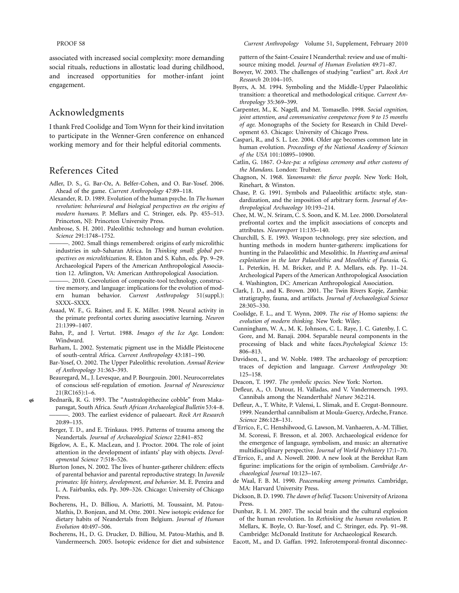associated with increased social complexity: more demanding social rituals, reductions in allostatic load during childhood, and increased opportunities for mother-infant joint engagement.

# Acknowledgments

I thank Fred Coolidge and Tom Wynn for their kind invitation to participate in the Wenner-Gren conference on enhanced working memory and for their helpful editorial comments.

# References Cited

- Adler, D. S., G. Bar-Oz, A. Belfer-Cohen, and O. Bar-Yosef. 2006. Ahead of the game. *Current Anthropology* 47:89–118.
- Alexander, R. D. 1989. Evolution of the human psyche. In *The human revolution: behavioural and biological perspectives on the origins of modern humans*. P. Mellars and C. Stringer, eds. Pp. 455–513. Princeton, NJ: Princeton University Press.
- Ambrose, S. H. 2001. Paleolithic technology and human evolution. *Science* 291:1748–1752.
- -. 2002. Small things remembered: origins of early microlithic industries in sub-Saharan Africa. In *Thinking small: global perspectives on microlithization*. R. Elston and S. Kuhn, eds. Pp. 9–29. Archaeological Papers of the American Anthropological Association 12. Arlington, VA: American Anthropological Association.
- ———. 2010. Coevolution of composite-tool technology, constructive memory, and language: implications for the evolution of modern human behavior. *Current Anthropology* 51(suppl.): SXXX–SXXX.
- Asaad, W. F., G. Rainer, and E. K. Miller. 1998. Neural activity in the primate prefrontal cortex during associative learning. *Neuron* 21:1399–1407.
- Bahn, P., and J. Vertut. 1988. *Images of the Ice Age*. London: Windward.
- Barham, L. 2002. Systematic pigment use in the Middle Pleistocene of south-central Africa. *Current Anthropology* 43:181–190.
- Bar-Yosef, O. 2002. The Upper Paleolithic revolution. *Annual Review of Anthropology* 31:363–393.
- Beauregard, M., J. Levesque, and P. Bourgouin. 2001. Neurocorrelates of conscious self-regulation of emotion. *Journal of Neuroscience* 21(RC165):1–6.
- Bednarik, R. G. 1993. The "Australopithecine cobble" from Makapansgat, South Africa. *South African Archaeological Bulletin* 53:4–8. ———. 2003. The earliest evidence of palaeoart. *Rock Art Research* 20:89–135.
	- Berger, T. D., and E. Trinkaus. 1995. Patterns of trauma among the Neandertals. *Journal of Archaeological Science* 22:841–852
	- Bigelow, A. E., K. MacLean, and J. Proctor. 2004. The role of joint attention in the development of infants' play with objects. *Developmental Science* 7:518–526.
	- Blurton Jones, N. 2002. The lives of hunter-gatherer children: effects of parental behavior and parental reproductive strategy. In *Juvenile primates: life history, development, and behavior*. M. E. Pereira and L. A. Fairbanks, eds. Pp. 309–326. Chicago: University of Chicago Press.
	- Bocherens, H., D. Billiou, A. Mariotti, M. Toussaint, M. Patou-Mathis, D. Bonjean, and M. Otte. 2001. New isotopic evidence for dietary habits of Neandertals from Belgium. *Journal of Human Evolution* 40:497–506.
	- Bocherens, H., D. G. Drucker, D. Billiou, M. Patou-Mathis, and B. Vandermeersch. 2005. Isotopic evidence for diet and subsistence

pattern of the Saint-Cesaire I Neanderthal: review and use of multisource mixing model. *Journal of Human Evolution* 49:71–87.

- Bowyer, W. 2003. The challenges of studying "earliest" art. *Rock Art Research* 20:104–105.
- Byers, A. M. 1994. Symboling and the Middle-Upper Palaeolithic transition: a theoretical and methodological critique. *Current Anthropology* 35:369–399.
- Carpenter, M., K. Nagell, and M. Tomasello. 1998. *Social cognition, joint attention, and communicative competence from 9 to 15 months of age*. Monographs of the Society for Research in Child Development 63. Chicago: University of Chicago Press.
- Caspari, R., and S. L. Lee. 2004. Older age becomes common late in human evolution. *Proceedings of the National Academy of Sciences of the USA* 101:10895–10900.
- Catlin, G. 1867. *O-kee-pa: a religious ceremony and other customs of the Mandans*. London: Trubner.
- Chagnon, N. 1968. *Yanomamö: the fierce people*. New York: Holt, Rinehart, & Winston.
- Chase, P. G. 1991. Symbols and Palaeolithic artifacts: style, standardization, and the imposition of arbitrary form. *Journal of Anthropological Archaeology* 10:193–214.
- Chee, M. W., N. Sriram, C. S. Soon, and K. M. Lee. 2000. Dorsolateral prefrontal cortex and the implicit associations of concepts and attributes. *Neuroreport* 11:135–140.
- Churchill, S. E. 1993. Weapon technology, prey size selection, and hunting methods in modern hunter-gatherers: implications for hunting in the Palaeolithic and Mesolithic. In *Hunting and animal exploitation in the later Palaeolithic and Mesolithic of Eurasia*. G. L. Peterkin, H. M. Bricker, and P. A. Mellars, eds. Pp. 11–24. Archeological Papers of the American Anthropological Association 4. Washington, DC: American Anthropological Association.
- Clark, J. D., and K. Brown. 2001. The Twin Rivers Kopje, Zambia: stratigraphy, fauna, and artifacts. *Journal of Archaeological Science* 28:305–330.
- Coolidge, F. L., and T. Wynn, 2009. *The rise of* Homo sapiens: *the evolution of modern thinking*. New York: Wiley.
- Cunningham, W. A., M. K. Johnson, C. L. Raye, J. C. Gatenby, J. C. Gore, and M. Banaji. 2004. Separable neural components in the processing of black and white faces.*Psychological Science* 15: 806–813.
- Davidson, I., and W. Noble. 1989. The archaeology of perception: traces of depiction and language. *Current Anthropology* 30: 125–158.
- Deacon, T. 1997. *The symbolic species*. New York: Norton.
- Defleur, A., O. Dutour, H. Valladas, and V. Vandermeersch. 1993. Cannibals among the Neanderthals? *Nature* 362:214.
- Defleur, A., T. White, P. Valensi, L. Slimak, and E. Cregut-Bonnoure. 1999. Neanderthal cannibalism at Moula-Guercy, Ardeche, France. *Science* 286:128–131.
- d'Errico, F., C. Henshilwood, G. Lawson, M. Vanhaeren, A.-M. Tillier, M. Scoressi, F. Bresson, et al. 2003. Archaeological evidence for the emergence of language, symbolism, and music: an alternative multidisciplinary perspective. *Journal of World Prehistory* 17:1–70.
- d'Errico, F., and A. Nowell. 2000. A new look at the Berekhat Ram figurine: implications for the origin of symbolism. *Cambridge Archaeological Journal* 10:123–167.
- de Waal, F. B. M. 1990. *Peacemaking among primates*. Cambridge, MA: Harvard University Press.
- Dickson, B. D. 1990. *The dawn of belief*. Tucson: University of Arizona Press.
- Dunbar, R. I. M. 2007. The social brain and the cultural explosion of the human revolution. In *Rethinking the human revolution*. P. Mellars, K. Boyle, O. Bar-Yosef, and C. Stringer, eds. Pp. 91–98. Cambridge: McDonald Institute for Archaeological Research.
- Eacott, M., and D. Gaffan. 1992. Inferotemporal-frontal disconnec-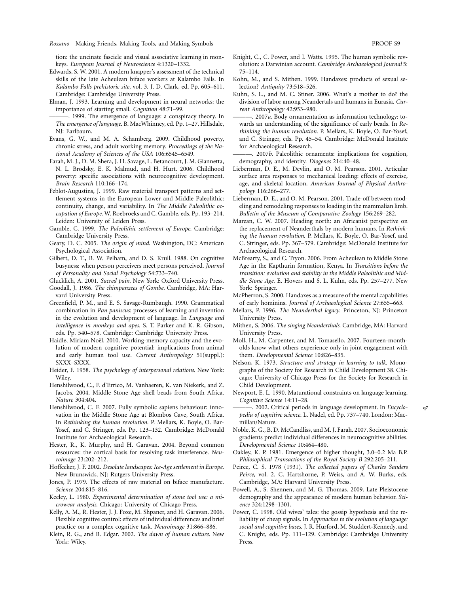*Rossano* Making Friends, Making Tools, and Making Symbols PROOF S9

tion: the uncinate fascicle and visual associative learning in monkeys. *European Journal of Neuroscience* 4:1320–1332.

- Edwards, S. W. 2001. A modern knapper's assessment of the technical skills of the late Acheulean biface workers at Kalambo Falls. In *Kalambo Falls prehistoric site*, vol. 3. J. D. Clark, ed. Pp. 605–611. Cambridge: Cambridge University Press.
- Elman, J. 1993. Learning and development in neural networks: the importance of starting small. *Cognition* 48:71–99.

———. 1999. The emergence of language: a conspiracy theory. In *The emergence of language*. B. MacWhinney, ed. Pp. 1–27. Hillsdale, NJ: Earlbaum.

- Evans, G. W., and M. A. Schamberg. 2009. Childhood poverty, chronic stress, and adult working memory. *Proceedings of the National Academy of Sciences of the USA* 106:6545–6549.
- Farah, M. J., D. M. Shera, J. H. Savage, L. Betancourt, J. M. Giannetta, N. L. Brodsky, E. K. Malmud, and H. Hurt. 2006. Childhood poverty: specific associations with neurocognitive development. *Brain Research* 110:166–174.

Feblot-Augustins, J. 1999. Raw material transport patterns and settlement systems in the European Lower and Middle Paleolithic: continuity, change, and variability. In *The Middle Paleolithic occupation of Europe*. W. Roebroeks and C. Gamble, eds. Pp. 193–214. Leiden: University of Leiden Press.

- Gamble, C. 1999. *The Paleolithic settlement of Europe*. Cambridge: Cambridge University Press.
- Geary, D. C. 2005. *The origin of mind*. Washington, DC: American Psychological Association.
- Gilbert, D. T., B. W. Pelham, and D. S. Krull. 1988. On cognitive busyness: when person perceivers meet persons perceived. *Journal of Personality and Social Psychology* 54:733–740.
- Glucklich, A. 2001. *Sacred pain*. New York: Oxford University Press. Goodall, J. 1986. *The chimpanzees of Gombe*. Cambridge, MA: Har-
- vard University Press.
- Greenfield, P. M., and E. S. Savage-Rumbaugh. 1990. Grammatical combination in *Pan paniscus*: processes of learning and invention in the evolution and development of language. In *Language and intelligence in monkeys and apes*. S. T. Parker and K. R. Gibson, eds. Pp. 540–578. Cambridge: Cambridge University Press.
- Haidle, Miriam Noël. 2010. Working-memory capacity and the evolution of modern cognitive potential: implications from animal and early human tool use. *Current Anthropology* 51(suppl.): SXXX–SXXX.
- Heider, F. 1958. *The psychology of interpersonal relations*. New York: Wiley.
- Henshilwood, C., F. d'Errico, M. Vanhaeren, K. van Niekerk, and Z. Jacobs. 2004. Middle Stone Age shell beads from South Africa. *Nature* 304:404.
- Henshilwood, C. F. 2007. Fully symbolic sapiens behaviour: innovation in the Middle Stone Age at Blombos Cave, South Africa. In *Rethinking the human revolution*. P. Mellars, K. Boyle, O. Bar-Yosef, and C. Stringer, eds. Pp. 123–132. Cambridge: McDonald Institute for Archaeological Research.
- Hester, R., K. Murphy, and H. Garavan. 2004. Beyond common resources: the cortical basis for resolving task interference. *Neuroimage* 23:202–212.
- Hoffecker, J. F. 2002. *Desolate landscapes: Ice-Age settlement in Europe*. New Brunswick, NJ: Rutgers University Press.
- Jones, P. 1979. The effects of raw material on biface manufacture. *Science* 204:815–816.
- Keeley, L. 1980. *Experimental determination of stone tool use: a microwear analysis*. Chicago: University of Chicago Press.
- Kelly, A. M., R. Hester, J. J. Foxe, M. Shpaner, and H. Garavan. 2006. Flexible cognitive control: effects of individual differences and brief practice on a complex cognitive task. *Neuroimage* 31:866–886.
- Klein, R. G., and B. Edgar. 2002. *The dawn of human culture*. New York: Wiley.
- Knight, C., C. Power, and I. Watts. 1995. The human symbolic revolution: a Darwinian account. *Cambridge Archaeological Journal* 5: 75–114.
- Kohn, M., and S. Mithen. 1999. Handaxes: products of sexual selection? *Antiquity* 73:518–526.
- Kuhn, S. L., and M. C. Stiner. 2006. What's a mother to do? the division of labor among Neandertals and humans in Eurasia. *Current Anthropology* 42:953–980.
- -. 2007*a*. Body ornamentation as information technology: towards an understanding of the significance of early beads. In *Rethinking the human revolution*. P. Mellars, K. Boyle, O. Bar-Yosef, and C. Stringer, eds. Pp. 45–54. Cambridge: McDonald Institute for Archaeological Research.
- ———. 2007*b*. Paleolithic ornaments: implications for cognition, demography, and identity. *Diogenes* 214:40–48.
- Lieberman, D. E., M. Devlin, and O. M. Pearson. 2001. Articular surface area responses to mechanical loading: effects of exercise, age, and skeletal location. *American Journal of Physical Anthropology* 116:266–277.
- Lieberman, D. E., and O. M. Pearson. 2001. Trade-off between modeling and remodeling responses to loading in the mammalian limb. *Bulletin of the Museum of Comparative Zoology* 156:269–282.
- Marean, C. W. 2007. Heading north: an Africanist perspective on the replacement of Neanderthals by modern humans. In *Rethinking the human revolution*. P. Mellars, K. Boyle, O. Bar-Yosef, and C. Stringer, eds. Pp. 367–379. Cambridge: McDonald Institute for Archaeological Research.
- McBrearty, S., and C. Tryon. 2006. From Acheulean to Middle Stone Age in the Kapthurin formation, Kenya. In *Transitions before the transition: evolution and stability in the Middle Paleolithic and Middle Stone Age*. E. Hovers and S. L. Kuhn, eds. Pp. 257–277. New York: Springer.
- McPherron, S. 2000. Handaxes as a measure of the mental capabilities of early hominins. *Journal of Archaeological Science* 27:655–663.
- Mellars, P. 1996. *The Neanderthal legacy*. Princeton, NJ: Princeton University Press.
- Mithen, S. 2006. *The singing Neanderthals*. Cambridge, MA: Harvard University Press.
- Moll, H., M. Carpenter, and M. Tomasello. 2007. Fourteen-montholds know what others experience only in joint engagement with them. *Developmental Science* 10:826–835.
- Nelson, K. 1973. *Structure and strategy in learning to talk*. Monographs of the Society for Research in Child Development 38. Chicago: University of Chicago Press for the Society for Research in Child Development.
- Newport, E. L. 1990. Maturational constraints on language learning. *Cognitive Science* 14:11–28.

-. 2002. Critical periods in language development. In *Encyclopedia of cognitive science*. L. Nadel, ed. Pp. 737–740. London: Macmillan/Nature.

- Noble, K. G., B. D. McCandliss, and M. J. Farah. 2007. Socioeconomic gradients predict individual differences in neurocognitive abilities. *Developmental Science* 10:464–480.
- Oakley, K. P. 1981. Emergence of higher thought, 3.0–0.2 Ma B.P. *Philosophical Transactions of the Royal Society B* 292:205–211.
- Peirce, C. S. 1978 (1931). *The collected papers of Charles Sanders Peirce*, vol. 2. C. Hartshorne, P. Weiss, and A. W. Burks, eds. Cambridge, MA: Harvard University Press.
- Powell, A., S. Shennen, and M. G. Thomas. 2009. Late Pleistocene demography and the appearance of modern human behavior. *Science* 324:1298–1301.
- Power, C. 1998. Old wives' tales: the gossip hypothesis and the reliability of cheap signals. In *Approaches to the evolution of language: social and cognitive bases*. J. R. Hurford, M. Studdert-Kennedy, and C. Knight, eds. Pp. 111–129. Cambridge: Cambridge University Press.

**q7**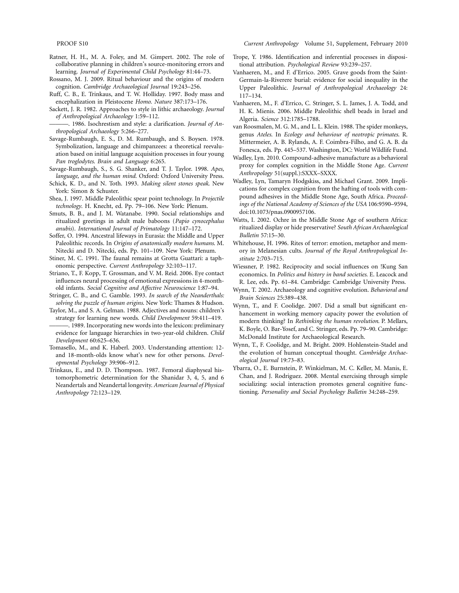- Ratner, H. H., M. A. Foley, and M. Gimpert. 2002. The role of collaborative planning in children's source-monitoring errors and learning. *Journal of Experimental Child Psychology* 81:44–73.
- Rossano, M. J. 2009. Ritual behaviour and the origins of modern cognition. *Cambridge Archaeological Journal* 19:243–256.
- Ruff, C. B., E. Trinkaus, and T. W. Holliday. 1997. Body mass and encephalization in Pleistocene *Homo*. *Nature* 387:173–176.
- Sackett, J. R. 1982. Approaches to style in lithic archaeology. *Journal of Anthropological Archaeology* 1:59–112.
- -. 1986. Isochrestism and style: a clarification. Journal of An*thropological Archaeology* 5:266–277.
- Savage-Rumbaugh, E. S., D. M. Rumbaugh, and S. Boysen. 1978. Symbolization, language and chimpanzees: a theoretical reevaluation based on initial language acquisition processes in four young *Pan troglodytes*. *Brain and Language* 6:265.
- Savage-Rumbaugh, S., S. G. Shanker, and T. J. Taylor. 1998. *Apes, language, and the human mind*. Oxford: Oxford University Press.
- Schick, K. D., and N. Toth. 1993. *Making silent stones speak*. New York: Simon & Schuster.
- Shea, J. 1997. Middle Paleolithic spear point technology. In *Projectile technology*. H. Knecht, ed. Pp. 79–106. New York: Plenum.
- Smuts, B. B., and J. M. Watanabe. 1990. Social relationships and ritualized greetings in adult male baboons (*Papio cynocephalus anubis*). *International Journal of Primatology* 11:147–172.
- Soffer, O. 1994. Ancestral lifeways in Eurasia: the Middle and Upper Paleolithic records. In *Origins of anatomically modern humans*. M. Nitecki and D. Nitecki, eds. Pp. 101–109. New York: Plenum.
- Stiner, M. C. 1991. The faunal remains at Grotta Guattari: a taphonomic perspective. *Current Anthropology* 32:103–117.
- Striano, T., F. Kopp, T. Grossman, and V. M. Reid. 2006. Eye contact influences neural processing of emotional expressions in 4-monthold infants. *Social Cognitive and Affective Neuroscience* 1:87–94.
- Stringer, C. B., and C. Gamble. 1993. *In search of the Neanderthals: solving the puzzle of human origins*. New York: Thames & Hudson.
- Taylor, M., and S. A. Gelman. 1988. Adjectives and nouns: children's strategy for learning new words. *Child Development* 59:411–419. ———. 1989. Incorporating new words into the lexicon: preliminary evidence for language hierarchies in two-year-old children. *Child*
- *Development* 60:625–636. Tomasello, M., and K. Haberl. 2003. Understanding attention: 12 and 18-month-olds know what's new for other persons. *Developmental Psychology* 39:906–912.
- Trinkaus, E., and D. D. Thompson. 1987. Femoral diaphyseal histomorphometric determination for the Shanidar 3, 4, 5, and 6 Neandertals and Neandertal longevity. *American Journal of Physical Anthropology* 72:123–129.
- Trope, Y. 1986. Identification and inferential processes in dispositional attribution. *Psychological Review* 93:239–257.
- Vanhaeren, M., and F. d'Errico. 2005. Grave goods from the Saint-Germain-la-Riverere burial: evidence for social inequality in the Upper Paleolithic. *Journal of Anthropological Archaeology* 24: 117–134.
- Vanhaeren, M., F. d'Errico, C. Stringer, S. L. James, J. A. Todd, and H. K. Mienis. 2006. Middle Paleolithic shell beads in Israel and Algeria. *Science* 312:1785–1788.
- van Roosmalen, M. G. M., and L. L. Klein. 1988. The spider monkeys, genus *Ateles*. In *Ecology and behaviour of neotropic primates*. R. Mittermeier, A. B. Rylands, A. F. Coimbra-Filho, and G. A. B. da Fonesca, eds. Pp. 445–537. Washington, DC: World Wildlife Fund.
- Wadley, Lyn. 2010. Compound-adhesive manufacture as a behavioral proxy for complex cognition in the Middle Stone Age. *Current Anthropology* 51(suppl.):SXXX–SXXX.
- Wadley, Lyn, Tamaryn Hodgskiss, and Michael Grant. 2009. Implications for complex cognition from the hafting of tools with compound adhesives in the Middle Stone Age, South Africa. *Proceedings of the National Academy of Sciences of the USA* 106:9590–9594, doi:10.1073/pnas.0900957106.
- Watts, I. 2002. Ochre in the Middle Stone Age of southern Africa: ritualized display or hide preservative? *South African Archaeological Bulletin* 57:15–30.
- Whitehouse, H. 1996. Rites of terror: emotion, metaphor and memory in Melanesian cults. *Journal of the Royal Anthropological Institute* 2:703–715.
- Wiessner, P. 1982. Reciprocity and social influences on !Kung San economics. In *Politics and history in band societies*. E. Leacock and R. Lee, eds. Pp. 61–84. Cambridge: Cambridge University Press.
- Wynn, T. 2002. Archaeology and cognitive evolution. *Behavioral and Brain Sciences* 25:389–438.
- Wynn, T., and F. Coolidge. 2007. Did a small but significant enhancement in working memory capacity power the evolution of modern thinking? In *Rethinking the human revolution*. P. Mellars, K. Boyle, O. Bar-Yosef, and C. Stringer, eds. Pp. 79–90. Cambridge: McDonald Institute for Archaeological Research.
- Wynn, T., F. Coolidge, and M. Bright. 2009. Hohlenstein-Stadel and the evolution of human conceptual thought. *Cambridge Archaeological Journal* 19:73–83.
- Ybarra, O., E. Burnstein, P. Winkielman, M. C. Keller, M. Manis, E. Chan, and J. Rodriguez. 2008. Mental exercising through simple socializing: social interaction promotes general cognitive functioning. *Personality and Social Psychology Bulletin* 34:248–259.